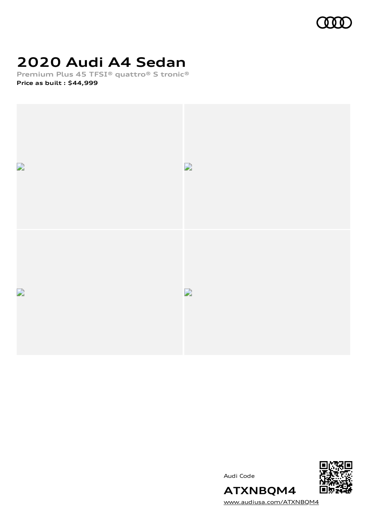

# **2020 Audi A4 Sedan**

**Premium Plus 45 TFSI® quattro® S tronic® Price as built [:](#page-8-0) \$44,999**



Audi Code



**ATXNBQM4** [www.audiusa.com/ATXNBQM4](https://www.audiusa.com/ATXNBQM4)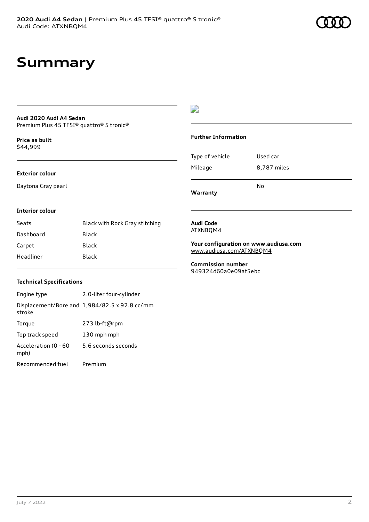# **Summary**

#### **Audi 2020 Audi A4 Sedan** Premium Plus 45 TFSI® quattro® S tronic®

**Price as buil[t](#page-8-0)** \$44,999

### **Exterior colour**

Daytona Gray pearl

## $\overline{\phantom{a}}$

### **Further Information**

|                 | N٥          |
|-----------------|-------------|
| Mileage         | 8,787 miles |
| Type of vehicle | Used car    |

**Warranty**

### **Interior colour**

| Seats     | Black with Rock Gray stitching |
|-----------|--------------------------------|
| Dashboard | Black                          |
| Carpet    | Black                          |
| Headliner | Black                          |

#### **Audi Code** ATXNBQM4

**Your configuration on www.audiusa.com** [www.audiusa.com/ATXNBQM4](https://www.audiusa.com/ATXNBQM4)

**Commission number** 949324d60a0e09af5ebc

### **Technical Specifications**

| Engine type                  | 2.0-liter four-cylinder                       |
|------------------------------|-----------------------------------------------|
| stroke                       | Displacement/Bore and 1,984/82.5 x 92.8 cc/mm |
| Torque                       | 273 lb-ft@rpm                                 |
| Top track speed              | 130 mph mph                                   |
| Acceleration (0 - 60<br>mph) | 5.6 seconds seconds                           |
| Recommended fuel             | Premium                                       |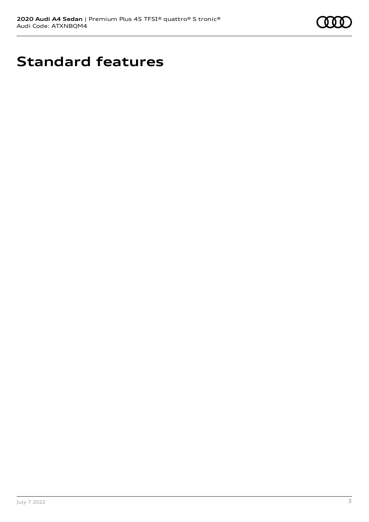

# **Standard features**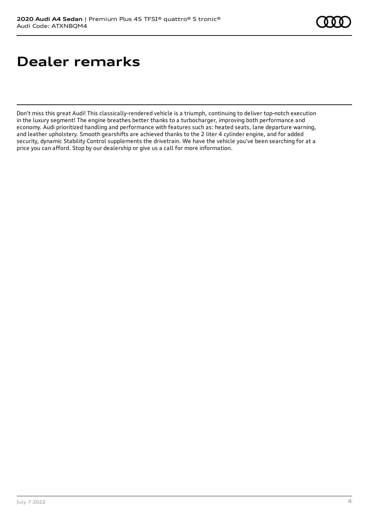# **Dealer remarks**

Don't miss this great Audi! This classically-rendered vehicle is a triumph, continuing to deliver top-notch execution in the luxury segment! The engine breathes better thanks to a turbocharger, improving both performance and economy. Audi prioritized handling and performance with features such as: heated seats, lane departure warning, and leather upholstery. Smooth gearshifts are achieved thanks to the 2 liter 4 cylinder engine, and for added security, dynamic Stability Control supplements the drivetrain. We have the vehicle you've been searching for at a price you can afford. Stop by our dealership or give us a call for more information.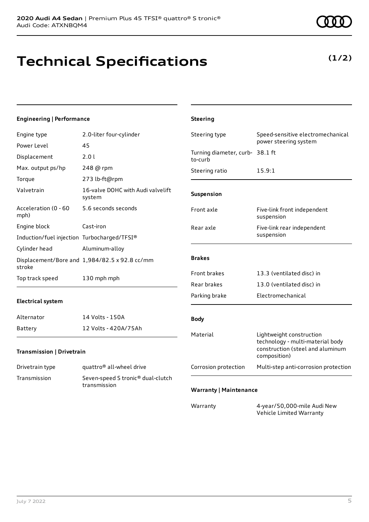**(1/2)**

# **Technical Specifications**

## **Engineering | Performance**

| Engine type                                 | 2.0-liter four-cylinder                           | Steering type                              | Speed-sensitive electromechanical                                                                                |
|---------------------------------------------|---------------------------------------------------|--------------------------------------------|------------------------------------------------------------------------------------------------------------------|
| Power Level                                 | 45                                                |                                            | power steering system                                                                                            |
| Displacement                                | 2.0 l                                             | Turning diameter, curb- 38.1 ft<br>to-curb |                                                                                                                  |
| Max. output ps/hp                           | 248 @ rpm                                         | Steering ratio                             | 15.9:1                                                                                                           |
| Torque                                      | 273 lb-ft@rpm                                     |                                            |                                                                                                                  |
| Valvetrain                                  | 16-valve DOHC with Audi valvelift<br>system       | Suspension                                 |                                                                                                                  |
| Acceleration (0 - 60<br>mph)                | 5.6 seconds seconds                               | Front axle                                 | Five-link front independent<br>suspension                                                                        |
| Engine block                                | Cast-iron                                         | Rear axle                                  | Five-link rear independent                                                                                       |
| Induction/fuel injection Turbocharged/TFSI® |                                                   |                                            | suspension                                                                                                       |
| Cylinder head                               | Aluminum-alloy                                    |                                            |                                                                                                                  |
| stroke                                      | Displacement/Bore and 1,984/82.5 x 92.8 cc/mm     | <b>Brakes</b>                              |                                                                                                                  |
| Top track speed                             | 130 mph mph                                       | Front brakes                               | 13.3 (ventilated disc) in                                                                                        |
|                                             |                                                   | Rear brakes                                | 13.0 (ventilated disc) in                                                                                        |
| <b>Electrical system</b>                    |                                                   | Parking brake                              | Electromechanical                                                                                                |
| Alternator                                  | 14 Volts - 150A                                   | <b>Body</b>                                |                                                                                                                  |
| Battery                                     | 12 Volts - 420A/75Ah                              |                                            |                                                                                                                  |
| Transmission   Drivetrain                   |                                                   | Material                                   | Lightweight construction<br>technology - multi-material body<br>construction (steel and aluminum<br>composition) |
| Drivetrain type                             | quattro <sup>®</sup> all-wheel drive              | Corrosion protection                       | Multi-step anti-corrosion protection                                                                             |
| Transmission                                | Seven-speed S tronic® dual-clutch<br>transmission | <b>Warranty   Maintenance</b>              |                                                                                                                  |
|                                             |                                                   |                                            |                                                                                                                  |
|                                             |                                                   | Warranty                                   | 4-year/50,000-mile Audi New<br>Vehicle Limited Warranty                                                          |

**Steering**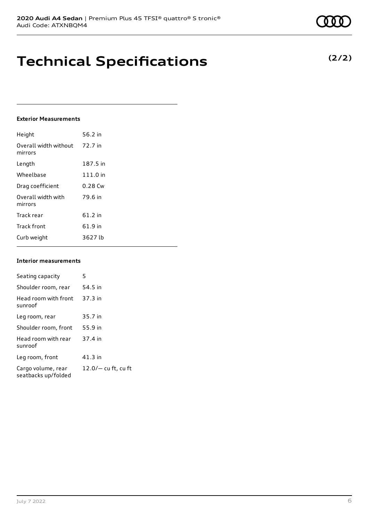**Technical Specifications**

### **Exterior Measurements**

| Height                           | 56.2 in   |
|----------------------------------|-----------|
| Overall width without<br>mirrors | 72.7 in   |
| Length                           | 187.5 in  |
| Wheelbase                        | 111.0 in  |
| Drag coefficient                 | $0.28$ Cw |
| Overall width with<br>mirrors    | 79.6 in   |
| Track rear                       | $61.2$ in |
| <b>Track front</b>               | 61.9 in   |
| Curb weight                      | 3627 lb   |

#### **Interior measurements**

| Seating capacity                          | 5                     |
|-------------------------------------------|-----------------------|
| Shoulder room, rear                       | 54.5 in               |
| Head room with front<br>sunroof           | $37.3$ in             |
| Leg room, rear                            | 35.7 in               |
| Shoulder room, front                      | 55.9 in               |
| Head room with rear<br>sunroof            | 37.4 in               |
| Leg room, front                           | $41.3$ in             |
| Cargo volume, rear<br>seatbacks up/folded | $12.0/-$ cu ft, cu ft |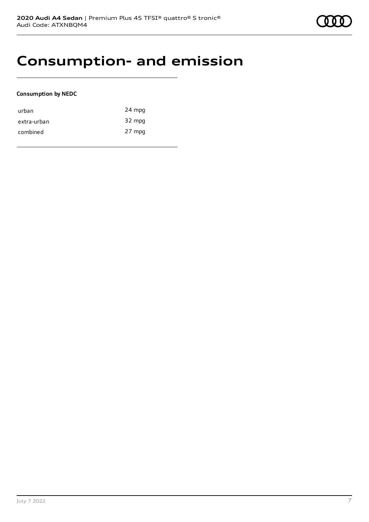## **Consumption- and emission**

### **Consumption by NEDC**

| urban       | 24 mpg |
|-------------|--------|
| extra-urban | 32 mpg |
| combined    | 27 mpg |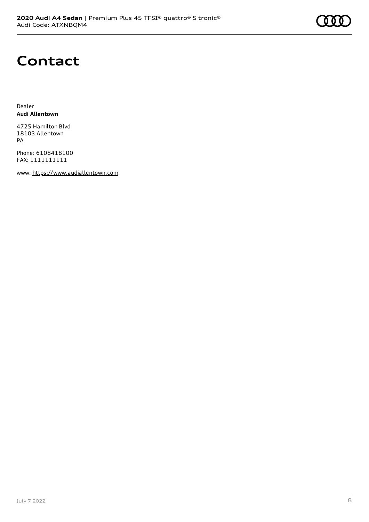# **Contact**

Dealer **Audi Allentown**

4725 Hamilton Blvd 18103 Allentown PA

Phone: 6108418100 FAX: 1111111111

www: [https://www.audiallentown.com](https://www.audiallentown.com/)